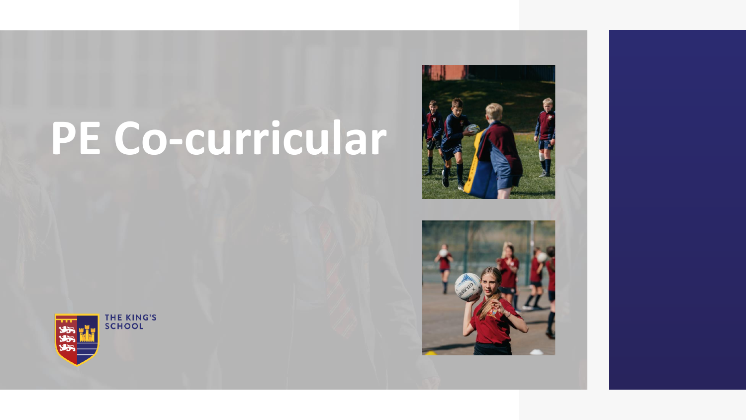# **PE Co-curricular**





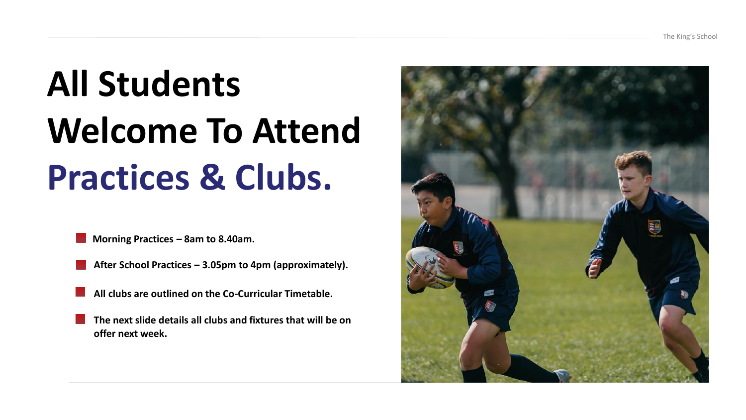## **All Students Welcome To Attend Practices & Clubs.**

**Morning Practices – 8am to 8.40am.**

- **After School Practices – 3.05pm to 4pm (approximately).**
- **All clubs are outlined on the Co-Curricular Timetable.**
- **The next slide details all clubs and fixtures that will be on offer next week.**

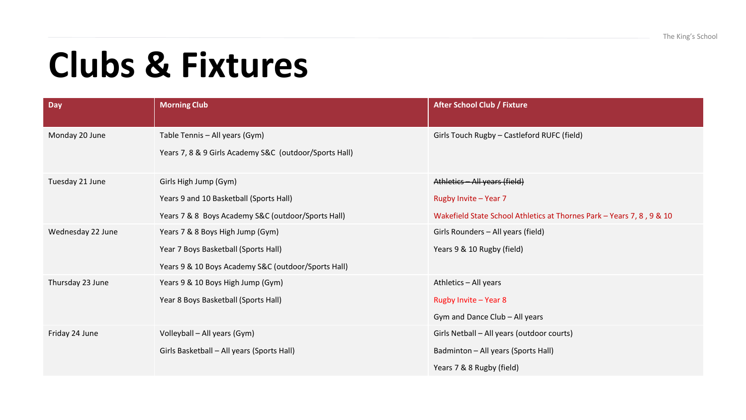### **Clubs & Fixtures**

| Day               | <b>Morning Club</b>                                    | <b>After School Club / Fixture</b>                                    |
|-------------------|--------------------------------------------------------|-----------------------------------------------------------------------|
| Monday 20 June    | Table Tennis - All years (Gym)                         | Girls Touch Rugby - Castleford RUFC (field)                           |
|                   | Years 7, 8 & 9 Girls Academy S&C (outdoor/Sports Hall) |                                                                       |
| Tuesday 21 June   | Girls High Jump (Gym)                                  | Athletics - All years (field)                                         |
|                   | Years 9 and 10 Basketball (Sports Hall)                | Rugby Invite - Year 7                                                 |
|                   | Years 7 & 8 Boys Academy S&C (outdoor/Sports Hall)     | Wakefield State School Athletics at Thornes Park - Years 7, 8, 9 & 10 |
| Wednesday 22 June | Years 7 & 8 Boys High Jump (Gym)                       | Girls Rounders - All years (field)                                    |
|                   | Year 7 Boys Basketball (Sports Hall)                   | Years 9 & 10 Rugby (field)                                            |
|                   | Years 9 & 10 Boys Academy S&C (outdoor/Sports Hall)    |                                                                       |
| Thursday 23 June  | Years 9 & 10 Boys High Jump (Gym)                      | Athletics - All years                                                 |
|                   | Year 8 Boys Basketball (Sports Hall)                   | Rugby Invite - Year 8                                                 |
|                   |                                                        | Gym and Dance Club - All years                                        |
| Friday 24 June    | Volleyball - All years (Gym)                           | Girls Netball - All years (outdoor courts)                            |
|                   | Girls Basketball - All years (Sports Hall)             | Badminton - All years (Sports Hall)                                   |
|                   |                                                        | Years 7 & 8 Rugby (field)                                             |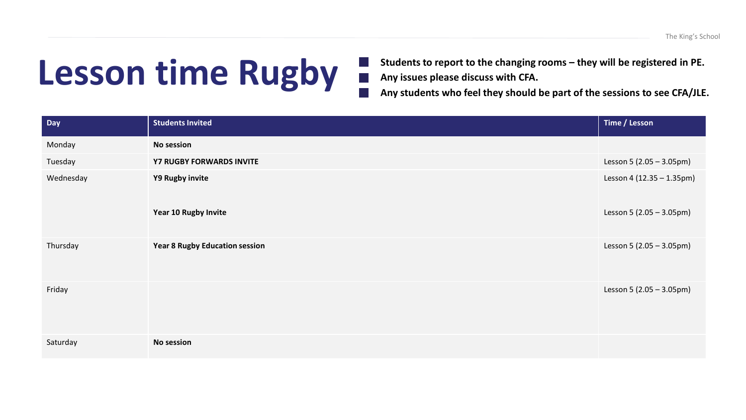### **Lesson time Rugby**

- **Students to report to the changing rooms – they will be registered in PE. Any issues please discuss with CFA.**
- **Any students who feel they should be part of the sessions to see CFA/JLE.**

| <b>Day</b> | <b>Students Invited</b>               | Time / Lesson             |
|------------|---------------------------------------|---------------------------|
| Monday     | <b>No session</b>                     |                           |
| Tuesday    | <b>Y7 RUGBY FORWARDS INVITE</b>       | Lesson 5 (2.05 - 3.05pm)  |
| Wednesday  | Y9 Rugby invite                       | Lesson 4 (12.35 - 1.35pm) |
|            | Year 10 Rugby Invite                  | Lesson 5 (2.05 - 3.05pm)  |
| Thursday   | <b>Year 8 Rugby Education session</b> | Lesson 5 (2.05 - 3.05pm)  |
| Friday     |                                       | Lesson 5 (2.05 - 3.05pm)  |
| Saturday   | No session                            |                           |